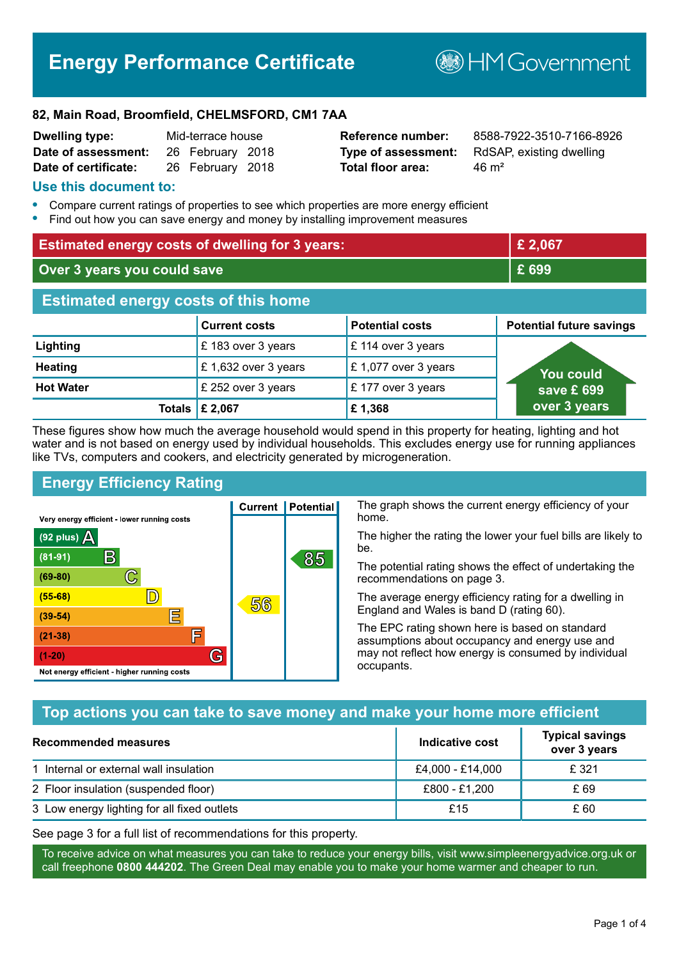# **Energy Performance Certificate**

**B**HMGovernment

#### **82, Main Road, Broomfield, CHELMSFORD, CM1 7AA**

| <b>Dwelling type:</b> | Mid-terrace house |                  |  |
|-----------------------|-------------------|------------------|--|
| Date of assessment:   |                   | 26 February 2018 |  |
| Date of certificate:  |                   | 26 February 2018 |  |

# **Total floor area:** 46 m<sup>2</sup>

**Reference number:** 8588-7922-3510-7166-8926 **Type of assessment:** RdSAP, existing dwelling

#### **Use this document to:**

- **•** Compare current ratings of properties to see which properties are more energy efficient
- **•** Find out how you can save energy and money by installing improvement measures

| <b>Estimated energy costs of dwelling for 3 years:</b> |                           | £ 2,067                |                                 |
|--------------------------------------------------------|---------------------------|------------------------|---------------------------------|
| Over 3 years you could save                            |                           | £ 699                  |                                 |
| <b>Estimated energy costs of this home</b>             |                           |                        |                                 |
|                                                        | <b>Current costs</b>      | <b>Potential costs</b> | <b>Potential future savings</b> |
| Lighting                                               | £183 over 3 years         | £ 114 over 3 years     |                                 |
| <b>Heating</b>                                         | £1,632 over 3 years       | £1,077 over 3 years    | <b>You could</b>                |
| <b>Hot Water</b>                                       | £ 252 over 3 years        | £177 over 3 years      | save £ 699                      |
|                                                        | Totals $\mathsf{E}$ 2,067 | £1,368                 | over 3 years                    |

These figures show how much the average household would spend in this property for heating, lighting and hot water and is not based on energy used by individual households. This excludes energy use for running appliances like TVs, computers and cookers, and electricity generated by microgeneration.

**Current | Potential** 

56

# **Energy Efficiency Rating**

 $\mathbb{C}$ 

 $\mathbb{D}$ 

E

庐

G

Very energy efficient - lower running costs

R

Not energy efficient - higher running costs

 $(92$  plus)

 $(81 - 91)$ 

 $(69 - 80)$ 

 $(55-68)$ 

 $(39 - 54)$ 

 $(21-38)$ 

 $(1-20)$ 

- 70

The graph shows the current energy efficiency of your home.

The higher the rating the lower your fuel bills are likely to be.

The potential rating shows the effect of undertaking the recommendations on page 3.

The average energy efficiency rating for a dwelling in England and Wales is band D (rating 60).

The EPC rating shown here is based on standard assumptions about occupancy and energy use and may not reflect how energy is consumed by individual occupants.

# **Top actions you can take to save money and make your home more efficient**

85

| Recommended measures                        | Indicative cost  | <b>Typical savings</b><br>over 3 years |
|---------------------------------------------|------------------|----------------------------------------|
| 1 Internal or external wall insulation      | £4,000 - £14,000 | £ 321                                  |
| 2 Floor insulation (suspended floor)        | £800 - £1,200    | £ 69                                   |
| 3 Low energy lighting for all fixed outlets | £15              | £ 60                                   |

See page 3 for a full list of recommendations for this property.

To receive advice on what measures you can take to reduce your energy bills, visit www.simpleenergyadvice.org.uk or call freephone **0800 444202**. The Green Deal may enable you to make your home warmer and cheaper to run.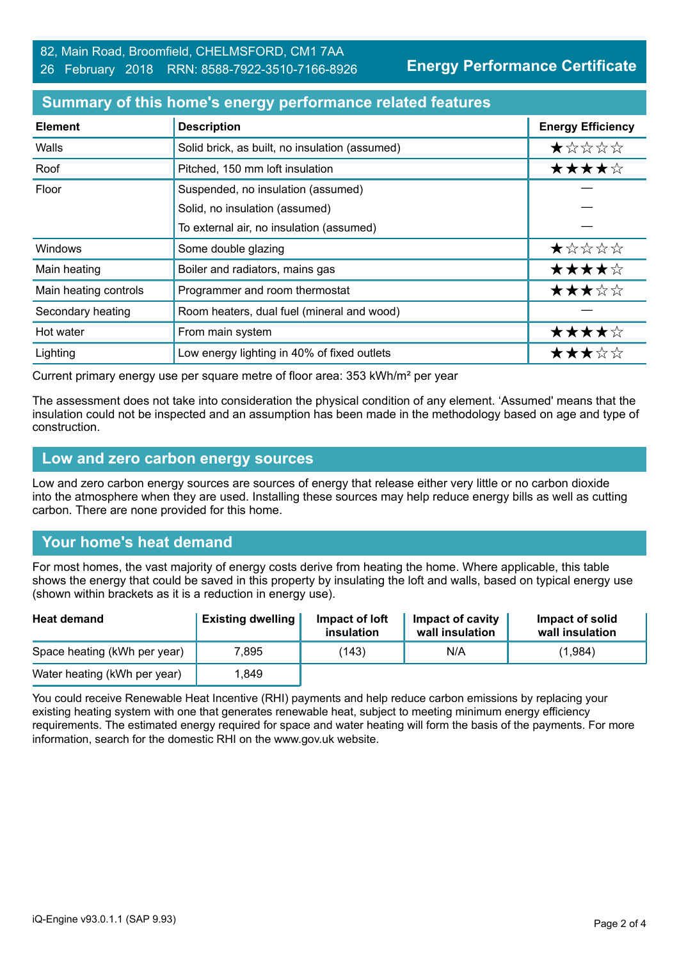**Energy Performance Certificate**

#### **Summary of this home's energy performance related features**

| <b>Element</b>        | <b>Description</b>                             | <b>Energy Efficiency</b> |
|-----------------------|------------------------------------------------|--------------------------|
| Walls                 | Solid brick, as built, no insulation (assumed) | ★☆☆☆☆                    |
| Roof                  | Pitched, 150 mm loft insulation                | ★★★★☆                    |
| Floor                 | Suspended, no insulation (assumed)             |                          |
|                       | Solid, no insulation (assumed)                 |                          |
|                       | To external air, no insulation (assumed)       |                          |
| Windows               | Some double glazing                            | ★☆☆☆☆                    |
| Main heating          | Boiler and radiators, mains gas                | ★★★★☆                    |
| Main heating controls | Programmer and room thermostat                 | ★★★☆☆                    |
| Secondary heating     | Room heaters, dual fuel (mineral and wood)     |                          |
| Hot water             | From main system                               | ★★★★☆                    |
| Lighting              | Low energy lighting in 40% of fixed outlets    | ★★★☆☆                    |

Current primary energy use per square metre of floor area: 353 kWh/m² per year

The assessment does not take into consideration the physical condition of any element. 'Assumed' means that the insulation could not be inspected and an assumption has been made in the methodology based on age and type of construction.

#### **Low and zero carbon energy sources**

Low and zero carbon energy sources are sources of energy that release either very little or no carbon dioxide into the atmosphere when they are used. Installing these sources may help reduce energy bills as well as cutting carbon. There are none provided for this home.

# **Your home's heat demand**

For most homes, the vast majority of energy costs derive from heating the home. Where applicable, this table shows the energy that could be saved in this property by insulating the loft and walls, based on typical energy use (shown within brackets as it is a reduction in energy use).

| <b>Heat demand</b>           | <b>Existing dwelling</b> | Impact of loft<br>insulation | Impact of cavity<br>wall insulation | Impact of solid<br>wall insulation |
|------------------------------|--------------------------|------------------------------|-------------------------------------|------------------------------------|
| Space heating (kWh per year) | 7,895                    | (143)                        | N/A                                 | (1,984)                            |
| Water heating (kWh per year) | .849                     |                              |                                     |                                    |

You could receive Renewable Heat Incentive (RHI) payments and help reduce carbon emissions by replacing your existing heating system with one that generates renewable heat, subject to meeting minimum energy efficiency requirements. The estimated energy required for space and water heating will form the basis of the payments. For more information, search for the domestic RHI on the www.gov.uk website.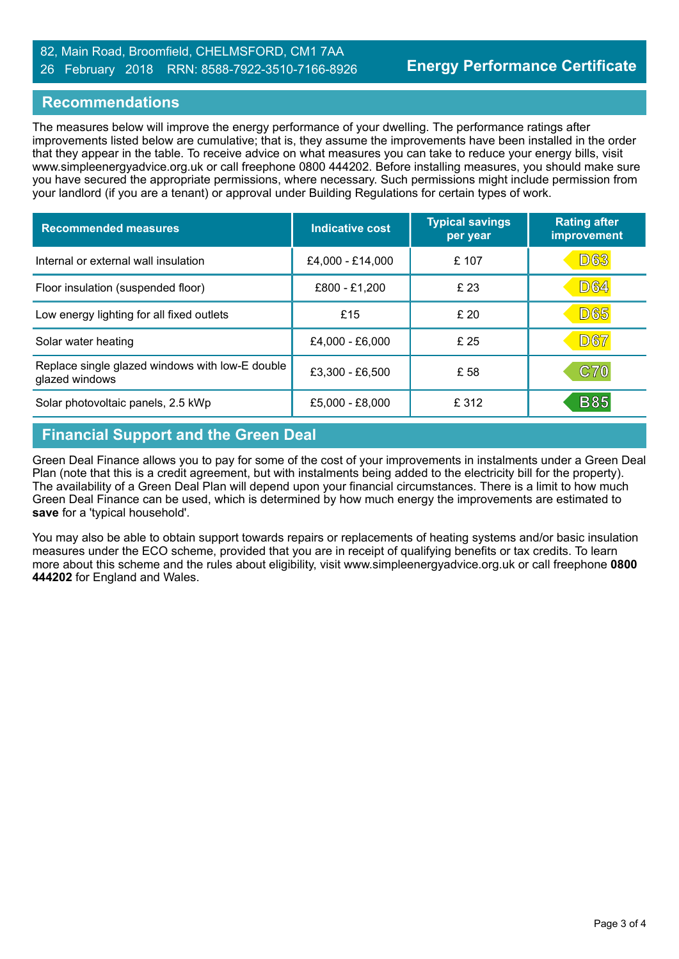### 82, Main Road, Broomfield, CHELMSFORD, CM1 7AA 26 February 2018 RRN: 8588-7922-3510-7166-8926

### **Recommendations**

The measures below will improve the energy performance of your dwelling. The performance ratings after improvements listed below are cumulative; that is, they assume the improvements have been installed in the order that they appear in the table. To receive advice on what measures you can take to reduce your energy bills, visit www.simpleenergyadvice.org.uk or call freephone 0800 444202. Before installing measures, you should make sure you have secured the appropriate permissions, where necessary. Such permissions might include permission from your landlord (if you are a tenant) or approval under Building Regulations for certain types of work.

| <b>Recommended measures</b>                                       | Indicative cost   | <b>Typical savings</b><br>per year | <b>Rating after</b><br>improvement |
|-------------------------------------------------------------------|-------------------|------------------------------------|------------------------------------|
| Internal or external wall insulation                              | £4,000 - £14,000  | £107                               | <b>D63</b>                         |
| Floor insulation (suspended floor)                                | £800 - £1,200     | £ 23                               | <b>D64</b>                         |
| Low energy lighting for all fixed outlets                         | £15               | £20                                | <b>D65</b>                         |
| Solar water heating                                               | £4,000 - £6,000   | £ 25                               | <b>D67</b>                         |
| Replace single glazed windows with low-E double<br>glazed windows | £3,300 - £6,500   | £ 58                               | <b>C70</b>                         |
| Solar photovoltaic panels, 2.5 kWp                                | $£5,000 - £8,000$ | £ 312                              | <b>B85</b>                         |

# **Financial Support and the Green Deal**

Green Deal Finance allows you to pay for some of the cost of your improvements in instalments under a Green Deal Plan (note that this is a credit agreement, but with instalments being added to the electricity bill for the property). The availability of a Green Deal Plan will depend upon your financial circumstances. There is a limit to how much Green Deal Finance can be used, which is determined by how much energy the improvements are estimated to **save** for a 'typical household'.

You may also be able to obtain support towards repairs or replacements of heating systems and/or basic insulation measures under the ECO scheme, provided that you are in receipt of qualifying benefits or tax credits. To learn more about this scheme and the rules about eligibility, visit www.simpleenergyadvice.org.uk or call freephone **0800 444202** for England and Wales.